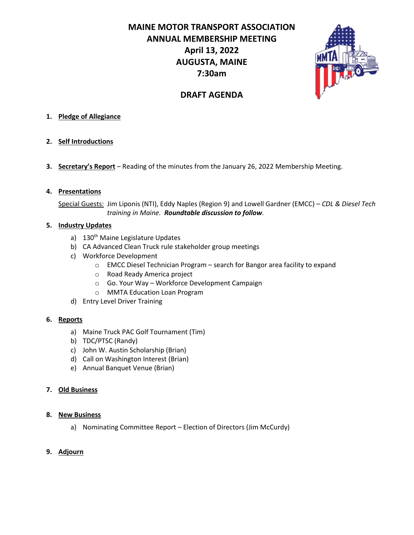**MAINE MOTOR TRANSPORT ASSOCIATION ANNUAL MEMBERSHIP MEETING April 13, 2022 AUGUSTA, MAINE 7:30am**



# **DRAFT AGENDA**

## **1. Pledge of Allegiance**

- **2. Self Introductions**
- **3. Secretary's Report** Reading of the minutes from the January 26, 2022 Membership Meeting.

### **4. Presentations**

Special Guests: Jim Liponis (NTI), Eddy Naples (Region 9) and Lowell Gardner (EMCC) – *CDL & Diesel Tech training in Maine. Roundtable discussion to follow.*

### **5. Industry Updates**

- a) 130<sup>th</sup> Maine Legislature Updates
- b) CA Advanced Clean Truck rule stakeholder group meetings
- c) Workforce Development
	- $\circ$  EMCC Diesel Technician Program search for Bangor area facility to expand
	- o Road Ready America project
	- o Go. Your Way Workforce Development Campaign
	- o MMTA Education Loan Program
- d) Entry Level Driver Training

### **6. Reports**

- a) Maine Truck PAC Golf Tournament (Tim)
- b) TDC/PTSC (Randy)
- c) John W. Austin Scholarship (Brian)
- d) Call on Washington Interest (Brian)
- e) Annual Banquet Venue (Brian)

### **7. Old Business**

### **8. New Business**

a) Nominating Committee Report – Election of Directors (Jim McCurdy)

### **9. Adjourn**